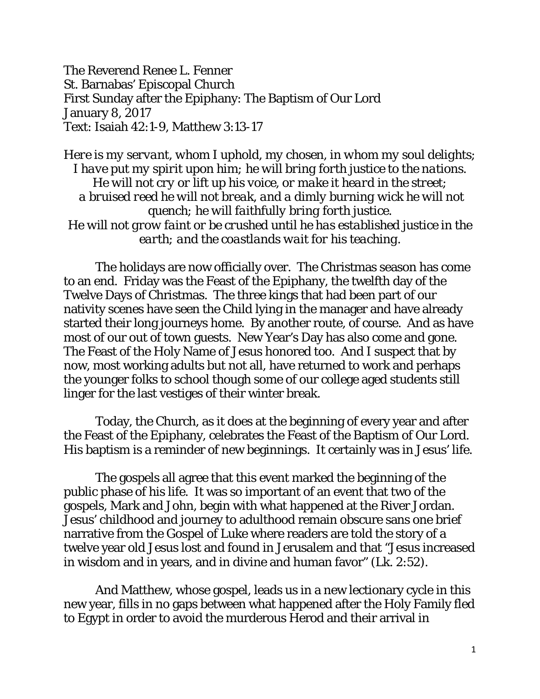The Reverend Renee L. Fenner St. Barnabas' Episcopal Church First Sunday after the Epiphany: The Baptism of Our Lord January 8, 2017 Text: Isaiah 42:1-9, Matthew 3:13-17

*Here is my servant, whom I uphold, my chosen, in whom my soul delights; I have put my spirit upon him; he will bring forth justice to the nations. He will not cry or lift up his voice, or make it heard in the street; a bruised reed he will not break, and a dimly burning wick he will not quench; he will faithfully bring forth justice. He will not grow faint or be crushed until he has established justice in the earth; and the coastlands wait for his teaching.* 

 The holidays are now officially over. The Christmas season has come to an end. Friday was the Feast of the Epiphany, the twelfth day of the Twelve Days of Christmas. The three kings that had been part of our nativity scenes have seen the Child lying in the manager and have already started their long journeys home. By another route, of course. And as have most of our out of town guests. New Year's Day has also come and gone. The Feast of the Holy Name of Jesus honored too. And I suspect that by now, most working adults but not all, have returned to work and perhaps the younger folks to school though some of our college aged students still linger for the last vestiges of their winter break.

 Today, the Church, as it does at the beginning of every year and after the Feast of the Epiphany, celebrates the Feast of the Baptism of Our Lord. His baptism is a reminder of new beginnings. It certainly was in Jesus' life.

The gospels all agree that this event marked the beginning of the public phase of his life. It was so important of an event that two of the gospels, Mark and John, begin with what happened at the River Jordan. Jesus' childhood and journey to adulthood remain obscure sans one brief narrative from the Gospel of Luke where readers are told the story of a twelve year old Jesus lost and found in Jerusalem and that "Jesus increased in wisdom and in years, and in divine and human favor" (Lk. 2:52).

And Matthew, whose gospel, leads us in a new lectionary cycle in this new year, fills in no gaps between what happened after the Holy Family fled to Egypt in order to avoid the murderous Herod and their arrival in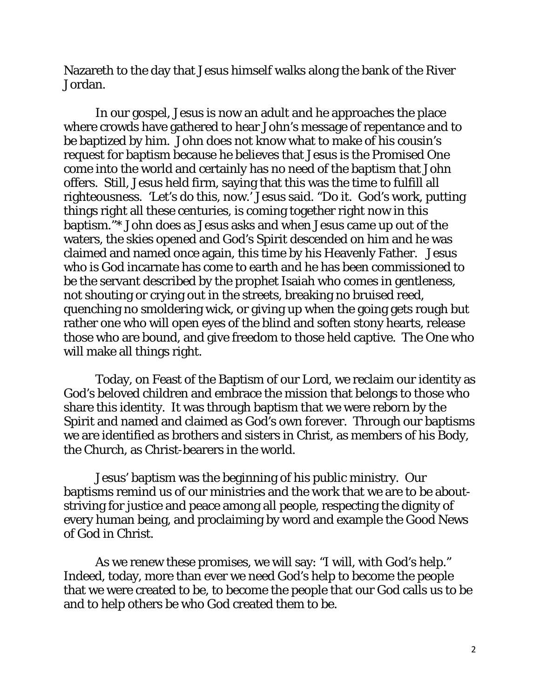Nazareth to the day that Jesus himself walks along the bank of the River Jordan.

In our gospel, Jesus is now an adult and he approaches the place where crowds have gathered to hear John's message of repentance and to be baptized by him. John does not know what to make of his cousin's request for baptism because he believes that Jesus is the Promised One come into the world and certainly has no need of the baptism that John offers. Still, Jesus held firm, saying that this was the time to fulfill all righteousness. 'Let's do this, now.' Jesus said. "Do it. God's work, putting things right all these centuries, is coming together right now in this baptism."\* John does as Jesus asks and when Jesus came up out of the waters, the skies opened and God's Spirit descended on him and he was claimed and named once again, this time by his Heavenly Father. Jesus who is God incarnate has come to earth and he has been commissioned to be the servant described by the prophet Isaiah who comes in gentleness, not shouting or crying out in the streets, breaking no bruised reed, quenching no smoldering wick, or giving up when the going gets rough but rather one who will open eyes of the blind and soften stony hearts, release those who are bound, and give freedom to those held captive. The One who will make all things right.

Today, on Feast of the Baptism of our Lord, we reclaim our identity as God's beloved children and embrace the mission that belongs to those who share this identity. It was through baptism that we were reborn by the Spirit and named and claimed as God's own forever. Through our baptisms we are identified as brothers and sisters in Christ, as members of his Body, the Church, as Christ-bearers in the world.

Jesus' baptism was the beginning of his public ministry. Our baptisms remind us of our ministries and the work that we are to be aboutstriving for justice and peace among all people, respecting the dignity of every human being, and proclaiming by word and example the Good News of God in Christ.

As we renew these promises, we will say: "I will, with God's help." Indeed, today, more than ever we need God's help to become the people that we were created to be, to become the people that our God calls us to be and to help others be who God created them to be.